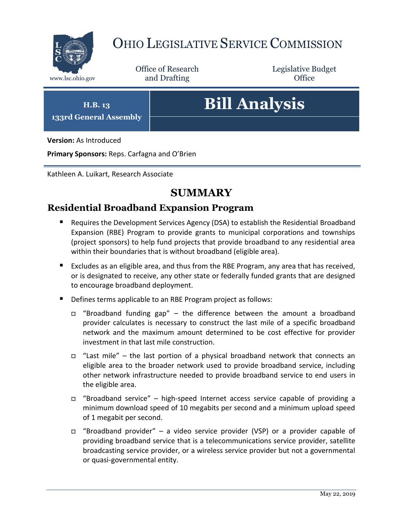

# OHIO LEGISLATIVE SERVICE COMMISSION

Office of Research www.lsc.ohio.gov and Drafting Control Control of Control Control Office

Legislative Budget

**H.B. 13 133rd General Assembly**

# **Bill Analysis**

**Version:** As Introduced

**Primary Sponsors:** Reps. Carfagna and O'Brien

Kathleen A. Luikart, Research Associate

# **SUMMARY**

# **Residential Broadband Expansion Program**

- Requires the Development Services Agency (DSA) to establish the Residential Broadband Expansion (RBE) Program to provide grants to municipal corporations and townships (project sponsors) to help fund projects that provide broadband to any residential area within their boundaries that is without broadband (eligible area).
- Excludes as an eligible area, and thus from the RBE Program, any area that has received, or is designated to receive, any other state or federally funded grants that are designed to encourage broadband deployment.
- Defines terms applicable to an RBE Program project as follows:
	- □ "Broadband funding gap" the difference between the amount a broadband provider calculates is necessary to construct the last mile of a specific broadband network and the maximum amount determined to be cost effective for provider investment in that last mile construction.
	- $\Box$  "Last mile" the last portion of a physical broadband network that connects an eligible area to the broader network used to provide broadband service, including other network infrastructure needed to provide broadband service to end users in the eligible area.
	- "Broadband service" high-speed Internet access service capable of providing a minimum download speed of 10 megabits per second and a minimum upload speed of 1 megabit per second.
	- "Broadband provider" a video service provider (VSP) or a provider capable of providing broadband service that is a telecommunications service provider, satellite broadcasting service provider, or a wireless service provider but not a governmental or quasi-governmental entity.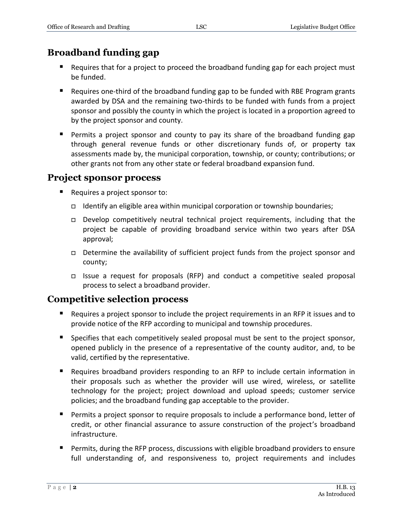# **Broadband funding gap**

- Requires that for a project to proceed the broadband funding gap for each project must be funded.
- Requires one-third of the broadband funding gap to be funded with RBE Program grants awarded by DSA and the remaining two-thirds to be funded with funds from a project sponsor and possibly the county in which the project is located in a proportion agreed to by the project sponsor and county.
- Permits a project sponsor and county to pay its share of the broadband funding gap through general revenue funds or other discretionary funds of, or property tax assessments made by, the municipal corporation, township, or county; contributions; or other grants not from any other state or federal broadband expansion fund.

### **Project sponsor process**

- Requires a project sponsor to:
	- Identify an eligible area within municipal corporation or township boundaries;
	- $\Box$  Develop competitively neutral technical project requirements, including that the project be capable of providing broadband service within two years after DSA approval;
	- Determine the availability of sufficient project funds from the project sponsor and county;
	- $\Box$  Issue a request for proposals (RFP) and conduct a competitive sealed proposal process to select a broadband provider.

# **Competitive selection process**

- Requires a project sponsor to include the project requirements in an RFP it issues and to provide notice of the RFP according to municipal and township procedures.
- **Specifies that each competitively sealed proposal must be sent to the project sponsor,** opened publicly in the presence of a representative of the county auditor, and, to be valid, certified by the representative.
- Requires broadband providers responding to an RFP to include certain information in their proposals such as whether the provider will use wired, wireless, or satellite technology for the project; project download and upload speeds; customer service policies; and the broadband funding gap acceptable to the provider.
- **Permits a project sponsor to require proposals to include a performance bond, letter of** credit, or other financial assurance to assure construction of the project's broadband infrastructure.
- **Permits, during the RFP process, discussions with eligible broadband providers to ensure** full understanding of, and responsiveness to, project requirements and includes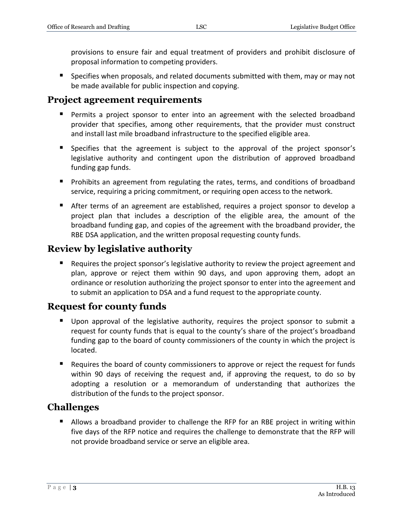provisions to ensure fair and equal treatment of providers and prohibit disclosure of proposal information to competing providers.

 Specifies when proposals, and related documents submitted with them, may or may not be made available for public inspection and copying.

# **Project agreement requirements**

- Permits a project sponsor to enter into an agreement with the selected broadband provider that specifies, among other requirements, that the provider must construct and install last mile broadband infrastructure to the specified eligible area.
- **Specifies that the agreement is subject to the approval of the project sponsor's** legislative authority and contingent upon the distribution of approved broadband funding gap funds.
- **Prohibits an agreement from regulating the rates, terms, and conditions of broadband** service, requiring a pricing commitment, or requiring open access to the network.
- After terms of an agreement are established, requires a project sponsor to develop a project plan that includes a description of the eligible area, the amount of the broadband funding gap, and copies of the agreement with the broadband provider, the RBE DSA application, and the written proposal requesting county funds.

# **Review by legislative authority**

**Requires the project sponsor's legislative authority to review the project agreement and** plan, approve or reject them within 90 days, and upon approving them, adopt an ordinance or resolution authorizing the project sponsor to enter into the agreement and to submit an application to DSA and a fund request to the appropriate county.

# **Request for county funds**

- Upon approval of the legislative authority, requires the project sponsor to submit a request for county funds that is equal to the county's share of the project's broadband funding gap to the board of county commissioners of the county in which the project is located.
- **E** Requires the board of county commissioners to approve or reject the request for funds within 90 days of receiving the request and, if approving the request, to do so by adopting a resolution or a memorandum of understanding that authorizes the distribution of the funds to the project sponsor.

# **Challenges**

**Allows a broadband provider to challenge the RFP for an RBE project in writing within** five days of the RFP notice and requires the challenge to demonstrate that the RFP will not provide broadband service or serve an eligible area.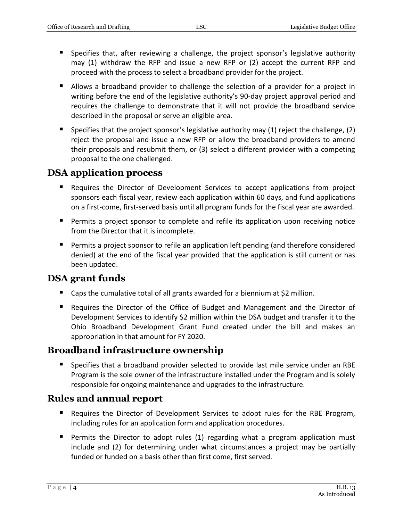- **Specifies that, after reviewing a challenge, the project sponsor's legislative authority** may (1) withdraw the RFP and issue a new RFP or (2) accept the current RFP and proceed with the process to select a broadband provider for the project.
- Allows a broadband provider to challenge the selection of a provider for a project in writing before the end of the legislative authority's 90-day project approval period and requires the challenge to demonstrate that it will not provide the broadband service described in the proposal or serve an eligible area.
- **Specifies that the project sponsor's legislative authority may (1) reject the challenge, (2)** reject the proposal and issue a new RFP or allow the broadband providers to amend their proposals and resubmit them, or (3) select a different provider with a competing proposal to the one challenged.

# **DSA application process**

- Requires the Director of Development Services to accept applications from project sponsors each fiscal year, review each application within 60 days, and fund applications on a first-come, first-served basis until all program funds for the fiscal year are awarded.
- **Permits a project sponsor to complete and refile its application upon receiving notice** from the Director that it is incomplete.
- **Permits a project sponsor to refile an application left pending (and therefore considered** denied) at the end of the fiscal year provided that the application is still current or has been updated.

# **DSA grant funds**

- Caps the cumulative total of all grants awarded for a biennium at \$2 million.
- Requires the Director of the Office of Budget and Management and the Director of Development Services to identify \$2 million within the DSA budget and transfer it to the Ohio Broadband Development Grant Fund created under the bill and makes an appropriation in that amount for FY 2020.

# **Broadband infrastructure ownership**

**Specifies that a broadband provider selected to provide last mile service under an RBE** Program is the sole owner of the infrastructure installed under the Program and is solely responsible for ongoing maintenance and upgrades to the infrastructure.

# **Rules and annual report**

- Requires the Director of Development Services to adopt rules for the RBE Program, including rules for an application form and application procedures.
- **Permits the Director to adopt rules (1) regarding what a program application must** include and (2) for determining under what circumstances a project may be partially funded or funded on a basis other than first come, first served.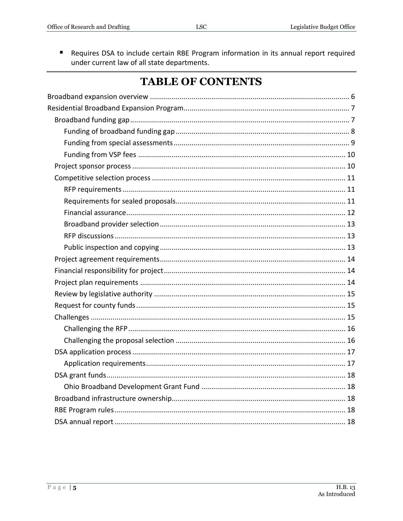Requires DSA to include certain RBE Program information in its annual report required  $\blacksquare$ under current law of all state departments.

# **TABLE OF CONTENTS**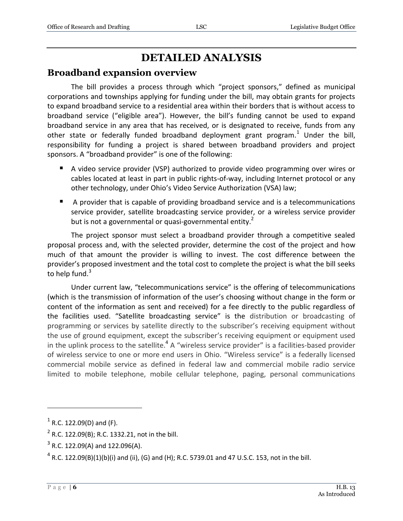# **DETAILED ANALYSIS**

### <span id="page-5-0"></span>**Broadband expansion overview**

The bill provides a process through which "project sponsors," defined as municipal corporations and townships applying for funding under the bill, may obtain grants for projects to expand broadband service to a residential area within their borders that is without access to broadband service ("eligible area"). However, the bill's funding cannot be used to expand broadband service in any area that has received, or is designated to receive, funds from any other state or federally funded broadband deployment grant program.<sup>1</sup> Under the bill, responsibility for funding a project is shared between broadband providers and project sponsors. A "broadband provider" is one of the following:

- A video service provider (VSP) authorized to provide video programming over wires or cables located at least in part in public rights-of-way, including Internet protocol or any other technology, under Ohio's Video Service Authorization (VSA) law;
- A provider that is capable of providing broadband service and is a telecommunications service provider, satellite broadcasting service provider, or a wireless service provider but is not a governmental or quasi-governmental entity.<sup>2</sup>

The project sponsor must select a broadband provider through a competitive sealed proposal process and, with the selected provider, determine the cost of the project and how much of that amount the provider is willing to invest. The cost difference between the provider's proposed investment and the total cost to complete the project is what the bill seeks to help fund. $3$ 

Under current law, "telecommunications service" is the offering of telecommunications (which is the transmission of information of the user's choosing without change in the form or content of the information as sent and received) for a fee directly to the public regardless of the facilities used. "Satellite broadcasting service" is the distribution or broadcasting of programming or services by satellite directly to the subscriber's receiving equipment without the use of ground equipment, except the subscriber's receiving equipment or equipment used in the uplink process to the satellite.<sup>4</sup> A "wireless service provider" is a facilities-based provider of wireless service to one or more end users in Ohio. "Wireless service" is a federally licensed commercial mobile service as defined in federal law and commercial mobile radio service limited to mobile telephone, mobile cellular telephone, paging, personal communications

 $3$  R.C. 122.09(A) and 122.096(A).

 $<sup>1</sup>$  R.C. 122.09(D) and (F).</sup>

 $2^2$  R.C. 122.09(B); R.C. 1332.21, not in the bill.

 $^4$  R.C. 122.09(B)(1)(b)(i) and (ii), (G) and (H); R.C. 5739.01 and 47 U.S.C. 153, not in the bill.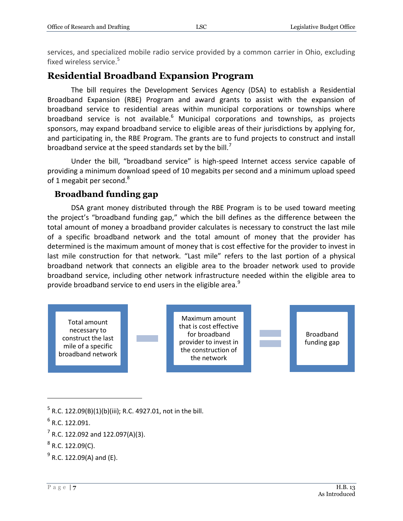services, and specialized mobile radio service provided by a common carrier in Ohio, excluding fixed wireless service.<sup>5</sup>

# <span id="page-6-0"></span>**Residential Broadband Expansion Program**

The bill requires the Development Services Agency (DSA) to establish a Residential Broadband Expansion (RBE) Program and award grants to assist with the expansion of broadband service to residential areas within municipal corporations or townships where broadband service is not available.<sup>6</sup> Municipal corporations and townships, as projects sponsors, may expand broadband service to eligible areas of their jurisdictions by applying for, and participating in, the RBE Program. The grants are to fund projects to construct and install broadband service at the speed standards set by the bill.<sup>7</sup>

Under the bill, "broadband service" is high-speed Internet access service capable of providing a minimum download speed of 10 megabits per second and a minimum upload speed of 1 megabit per second.<sup>8</sup>

### <span id="page-6-1"></span>**Broadband funding gap**

DSA grant money distributed through the RBE Program is to be used toward meeting the project's "broadband funding gap," which the bill defines as the difference between the total amount of money a broadband provider calculates is necessary to construct the last mile of a specific broadband network and the total amount of money that the provider has determined is the maximum amount of money that is cost effective for the provider to invest in last mile construction for that network. "Last mile" refers to the last portion of a physical broadband network that connects an eligible area to the broader network used to provide broadband service, including other network infrastructure needed within the eligible area to provide broadband service to end users in the eligible area.<sup>9</sup>



 $\overline{a}$ 

 $^{9}$  R.C. 122.09(A) and (E).

 $^5$  R.C. 122.09(B)(1)(b)(iii); R.C. 4927.01, not in the bill.

 $<sup>6</sup>$  R.C. 122.091.</sup>

 $7$  R.C. 122.092 and 122.097(A)(3).

 $^8$  R.C. 122.09(C).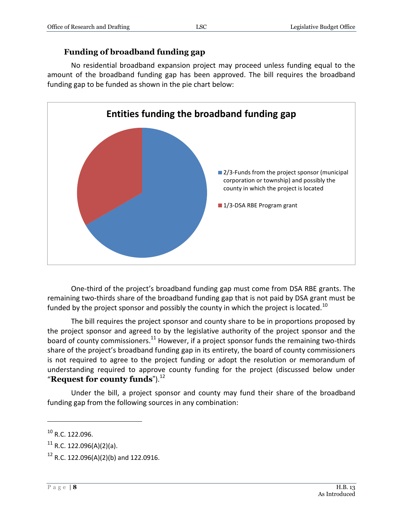## **Funding of broadband funding gap**

<span id="page-7-0"></span>No residential broadband expansion project may proceed unless funding equal to the amount of the broadband funding gap has been approved. The bill requires the broadband funding gap to be funded as shown in the pie chart below:



One-third of the project's broadband funding gap must come from DSA RBE grants. The remaining two-thirds share of the broadband funding gap that is not paid by DSA grant must be funded by the project sponsor and possibly the county in which the project is located.<sup>10</sup>

The bill requires the project sponsor and county share to be in proportions proposed by the project sponsor and agreed to by the legislative authority of the project sponsor and the board of county commissioners.<sup>11</sup> However, if a project sponsor funds the remaining two-thirds share of the project's broadband funding gap in its entirety, the board of county commissioners is not required to agree to the project funding or adopt the resolution or memorandum of understanding required to approve county funding for the project (discussed below under "**Request for county funds**").<sup>12</sup>

Under the bill, a project sponsor and county may fund their share of the broadband funding gap from the following sources in any combination:

 $10$  R.C. 122.096.

 $11$  R.C. 122.096(A)(2)(a).

 $12$  R.C. 122.096(A)(2)(b) and 122.0916.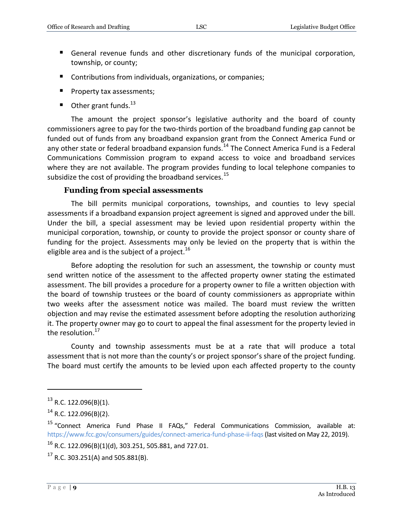- General revenue funds and other discretionary funds of the municipal corporation, township, or county;
- Contributions from individuals, organizations, or companies;
- **Property tax assessments;**
- $\blacksquare$  Other grant funds.<sup>13</sup>

The amount the project sponsor's legislative authority and the board of county commissioners agree to pay for the two-thirds portion of the broadband funding gap cannot be funded out of funds from any broadband expansion grant from the Connect America Fund or any other state or federal broadband expansion funds.<sup>14</sup> The Connect America Fund is a Federal Communications Commission program to expand access to voice and broadband services where they are not available. The program provides funding to local telephone companies to subsidize the cost of providing the broadband services.<sup>15</sup>

#### **Funding from special assessments**

<span id="page-8-0"></span>The bill permits municipal corporations, townships, and counties to levy special assessments if a broadband expansion project agreement is signed and approved under the bill. Under the bill, a special assessment may be levied upon residential property within the municipal corporation, township, or county to provide the project sponsor or county share of funding for the project. Assessments may only be levied on the property that is within the eligible area and is the subject of a project.<sup>16</sup>

Before adopting the resolution for such an assessment, the township or county must send written notice of the assessment to the affected property owner stating the estimated assessment. The bill provides a procedure for a property owner to file a written objection with the board of township trustees or the board of county commissioners as appropriate within two weeks after the assessment notice was mailed. The board must review the written objection and may revise the estimated assessment before adopting the resolution authorizing it. The property owner may go to court to appeal the final assessment for the property levied in the resolution.<sup>17</sup>

County and township assessments must be at a rate that will produce a total assessment that is not more than the county's or project sponsor's share of the project funding. The board must certify the amounts to be levied upon each affected property to the county

 $^{13}$  R.C. 122.096(B)(1).

 $14$  R.C. 122.096(B)(2).

<sup>15</sup> "Connect America Fund Phase II FAQs," Federal Communications Commission, available at: <https://www.fcc.gov/consumers/guides/connect-america-fund-phase-ii-faqs> (last visited on May 22, 2019).

 $16$  R.C. 122.096(B)(1)(d), 303.251, 505.881, and 727.01.

 $17$  R.C. 303.251(A) and 505.881(B).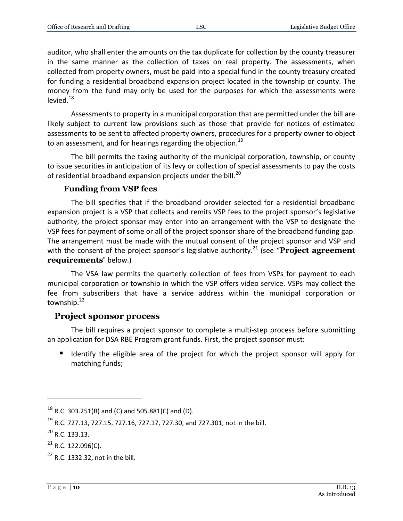auditor, who shall enter the amounts on the tax duplicate for collection by the county treasurer in the same manner as the collection of taxes on real property. The assessments, when collected from property owners, must be paid into a special fund in the county treasury created for funding a residential broadband expansion project located in the township or county. The money from the fund may only be used for the purposes for which the assessments were levied. $18$ 

Assessments to property in a municipal corporation that are permitted under the bill are likely subject to current law provisions such as those that provide for notices of estimated assessments to be sent to affected property owners, procedures for a property owner to object to an assessment, and for hearings regarding the objection.<sup>19</sup>

The bill permits the taxing authority of the municipal corporation, township, or county to issue securities in anticipation of its levy or collection of special assessments to pay the costs of residential broadband expansion projects under the bill.<sup>20</sup>

#### **Funding from VSP fees**

<span id="page-9-0"></span>The bill specifies that if the broadband provider selected for a residential broadband expansion project is a VSP that collects and remits VSP fees to the project sponsor's legislative authority, the project sponsor may enter into an arrangement with the VSP to designate the VSP fees for payment of some or all of the project sponsor share of the broadband funding gap. The arrangement must be made with the mutual consent of the project sponsor and VSP and with the consent of the project sponsor's legislative authority.<sup>21</sup> (see "**Project agreement requirements**" below.)

The VSA law permits the quarterly collection of fees from VSPs for payment to each municipal corporation or township in which the VSP offers video service. VSPs may collect the fee from subscribers that have a service address within the municipal corporation or township.<sup>22</sup>

#### <span id="page-9-1"></span>**Project sponsor process**

The bill requires a project sponsor to complete a multi-step process before submitting an application for DSA RBE Program grant funds. First, the project sponsor must:

If Identify the eligible area of the project for which the project sponsor will apply for matching funds;

 $18$  R.C. 303.251(B) and (C) and 505.881(C) and (D).

<sup>&</sup>lt;sup>19</sup> R.C. 727.13, 727.15, 727.16, 727.17, 727.30, and 727.301, not in the bill.

 $^{20}$  R.C. 133.13.

 $21$  R.C. 122.096(C).

 $22$  R.C. 1332.32, not in the bill.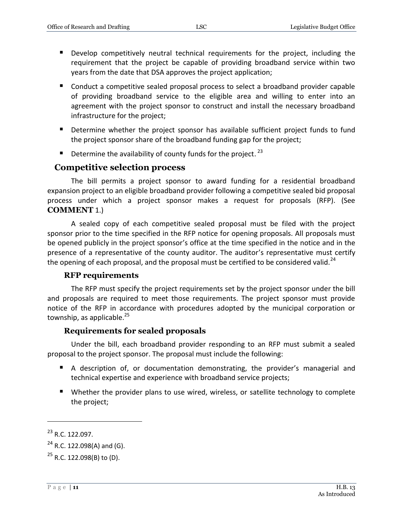- Develop competitively neutral technical requirements for the project, including the requirement that the project be capable of providing broadband service within two years from the date that DSA approves the project application;
- Conduct a competitive sealed proposal process to select a broadband provider capable of providing broadband service to the eligible area and willing to enter into an agreement with the project sponsor to construct and install the necessary broadband infrastructure for the project;
- **Determine whether the project sponsor has available sufficient project funds to fund** the project sponsor share of the broadband funding gap for the project;
- $\blacksquare$  Determine the availability of county funds for the project.<sup>23</sup>

### <span id="page-10-0"></span>**Competitive selection process**

The bill permits a project sponsor to award funding for a residential broadband expansion project to an eligible broadband provider following a competitive sealed bid proposal process under which a project sponsor makes a request for proposals (RFP). (See **COMMENT** 1.)

A sealed copy of each competitive sealed proposal must be filed with the project sponsor prior to the time specified in the RFP notice for opening proposals. All proposals must be opened publicly in the project sponsor's office at the time specified in the notice and in the presence of a representative of the county auditor. The auditor's representative must certify the opening of each proposal, and the proposal must be certified to be considered valid.<sup>24</sup>

#### **RFP requirements**

<span id="page-10-1"></span>The RFP must specify the project requirements set by the project sponsor under the bill and proposals are required to meet those requirements. The project sponsor must provide notice of the RFP in accordance with procedures adopted by the municipal corporation or township, as applicable. $^{25}$ 

#### **Requirements for sealed proposals**

<span id="page-10-2"></span>Under the bill, each broadband provider responding to an RFP must submit a sealed proposal to the project sponsor. The proposal must include the following:

- A description of, or documentation demonstrating, the provider's managerial and technical expertise and experience with broadband service projects;
- Whether the provider plans to use wired, wireless, or satellite technology to complete the project;

 $^{23}$  R.C. 122.097.

 $24$  R.C. 122.098(A) and (G).

 $^{25}$  R.C. 122.098(B) to (D).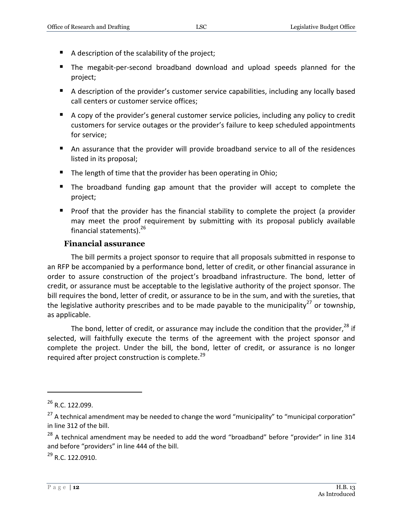- A description of the scalability of the project;
- The megabit-per-second broadband download and upload speeds planned for the project;
- A description of the provider's customer service capabilities, including any locally based call centers or customer service offices;
- A copy of the provider's general customer service policies, including any policy to credit customers for service outages or the provider's failure to keep scheduled appointments for service;
- An assurance that the provider will provide broadband service to all of the residences listed in its proposal;
- The length of time that the provider has been operating in Ohio;
- The broadband funding gap amount that the provider will accept to complete the project;
- **Proof that the provider has the financial stability to complete the project (a provider** may meet the proof requirement by submitting with its proposal publicly available financial statements). 26

#### **Financial assurance**

<span id="page-11-0"></span>The bill permits a project sponsor to require that all proposals submitted in response to an RFP be accompanied by a performance bond, letter of credit, or other financial assurance in order to assure construction of the project's broadband infrastructure. The bond, letter of credit, or assurance must be acceptable to the legislative authority of the project sponsor. The bill requires the bond, letter of credit, or assurance to be in the sum, and with the sureties, that the legislative authority prescribes and to be made payable to the municipality<sup>27</sup> or township. as applicable.

The bond, letter of credit, or assurance may include the condition that the provider, $^{28}$  if selected, will faithfully execute the terms of the agreement with the project sponsor and complete the project. Under the bill, the bond, letter of credit, or assurance is no longer required after project construction is complete.<sup>29</sup>

 $\overline{a}$ 

 $^{29}$  R.C. 122.0910.

 $^{26}$  R.C. 122.099.

 $27$  A technical amendment may be needed to change the word "municipality" to "municipal corporation" in line 312 of the bill.

<sup>&</sup>lt;sup>28</sup> A technical amendment may be needed to add the word "broadband" before "provider" in line 314 and before "providers" in line 444 of the bill.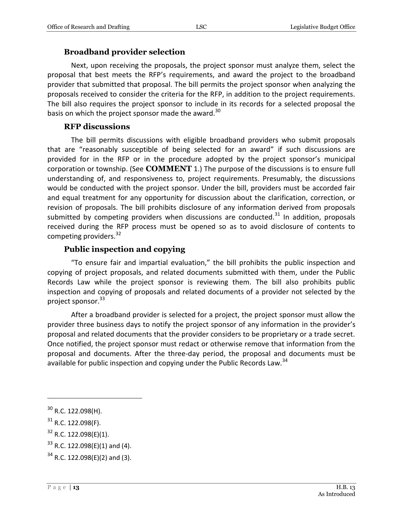#### **Broadband provider selection**

<span id="page-12-0"></span>Next, upon receiving the proposals, the project sponsor must analyze them, select the proposal that best meets the RFP's requirements, and award the project to the broadband provider that submitted that proposal. The bill permits the project sponsor when analyzing the proposals received to consider the criteria for the RFP, in addition to the project requirements. The bill also requires the project sponsor to include in its records for a selected proposal the basis on which the project sponsor made the award.<sup>30</sup>

#### **RFP discussions**

<span id="page-12-1"></span>The bill permits discussions with eligible broadband providers who submit proposals that are "reasonably susceptible of being selected for an award" if such discussions are provided for in the RFP or in the procedure adopted by the project sponsor's municipal corporation or township. (See **COMMENT** 1.) The purpose of the discussions is to ensure full understanding of, and responsiveness to, project requirements. Presumably, the discussions would be conducted with the project sponsor. Under the bill, providers must be accorded fair and equal treatment for any opportunity for discussion about the clarification, correction, or revision of proposals. The bill prohibits disclosure of any information derived from proposals submitted by competing providers when discussions are conducted. $31$  In addition, proposals received during the RFP process must be opened so as to avoid disclosure of contents to competing providers. $32$ 

#### **Public inspection and copying**

<span id="page-12-2"></span>"To ensure fair and impartial evaluation," the bill prohibits the public inspection and copying of project proposals, and related documents submitted with them, under the Public Records Law while the project sponsor is reviewing them. The bill also prohibits public inspection and copying of proposals and related documents of a provider not selected by the project sponsor.<sup>33</sup>

After a broadband provider is selected for a project, the project sponsor must allow the provider three business days to notify the project sponsor of any information in the provider's proposal and related documents that the provider considers to be proprietary or a trade secret. Once notified, the project sponsor must redact or otherwise remove that information from the proposal and documents. After the three-day period, the proposal and documents must be available for public inspection and copying under the Public Records Law.<sup>34</sup>

 $30$  R.C. 122.098(H).

 $31$  R.C. 122.098(F).

 $32$  R.C. 122.098(E)(1).

 $33$  R.C. 122.098(E)(1) and (4).

 $34$  R.C. 122.098(E)(2) and (3).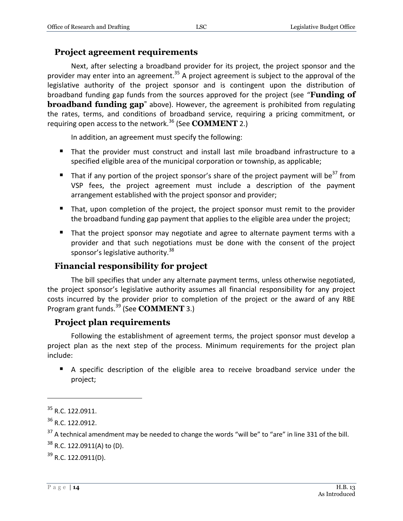#### <span id="page-13-0"></span>**Project agreement requirements**

Next, after selecting a broadband provider for its project, the project sponsor and the provider may enter into an agreement.<sup>35</sup> A project agreement is subject to the approval of the legislative authority of the project sponsor and is contingent upon the distribution of broadband funding gap funds from the sources approved for the project (see "**Funding of broadband funding gap**" above). However, the agreement is prohibited from regulating the rates, terms, and conditions of broadband service, requiring a pricing commitment, or requiring open access to the network.<sup>36</sup> (See **COMMENT** 2.)

In addition, an agreement must specify the following:

- That the provider must construct and install last mile broadband infrastructure to a specified eligible area of the municipal corporation or township, as applicable;
- That if any portion of the project sponsor's share of the project payment will be<sup>37</sup> from VSP fees, the project agreement must include a description of the payment arrangement established with the project sponsor and provider;
- That, upon completion of the project, the project sponsor must remit to the provider the broadband funding gap payment that applies to the eligible area under the project;
- That the project sponsor may negotiate and agree to alternate payment terms with a provider and that such negotiations must be done with the consent of the project sponsor's legislative authority.<sup>38</sup>

### <span id="page-13-1"></span>**Financial responsibility for project**

The bill specifies that under any alternate payment terms, unless otherwise negotiated, the project sponsor's legislative authority assumes all financial responsibility for any project costs incurred by the provider prior to completion of the project or the award of any RBE Program grant funds.<sup>39</sup> (See **COMMENT** 3.)

#### <span id="page-13-2"></span>**Project plan requirements**

Following the establishment of agreement terms, the project sponsor must develop a project plan as the next step of the process. Minimum requirements for the project plan include:

 A specific description of the eligible area to receive broadband service under the project;

<sup>&</sup>lt;sup>35</sup> R.C. 122.0911.

<sup>&</sup>lt;sup>36</sup> R.C. 122.0912.

 $37$  A technical amendment may be needed to change the words "will be" to "are" in line 331 of the bill.

 $38$  R.C. 122.0911(A) to (D).

 $39$  R.C. 122.0911(D).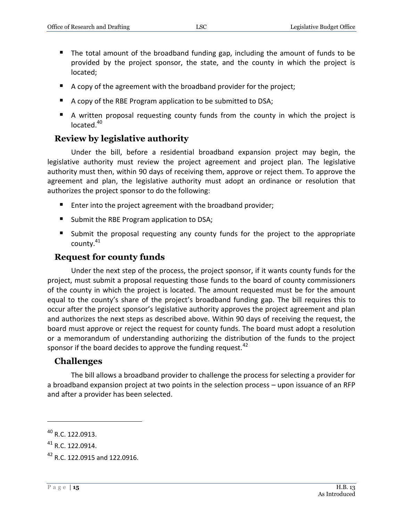- The total amount of the broadband funding gap, including the amount of funds to be provided by the project sponsor, the state, and the county in which the project is located;
- A copy of the agreement with the broadband provider for the project;
- A copy of the RBE Program application to be submitted to DSA;
- A written proposal requesting county funds from the county in which the project is located.<sup>40</sup>

# <span id="page-14-0"></span>**Review by legislative authority**

Under the bill, before a residential broadband expansion project may begin, the legislative authority must review the project agreement and project plan. The legislative authority must then, within 90 days of receiving them, approve or reject them. To approve the agreement and plan, the legislative authority must adopt an ordinance or resolution that authorizes the project sponsor to do the following:

- Enter into the project agreement with the broadband provider;
- Submit the RBE Program application to DSA;
- Submit the proposal requesting any county funds for the project to the appropriate county.<sup>41</sup>

### <span id="page-14-1"></span>**Request for county funds**

Under the next step of the process, the project sponsor, if it wants county funds for the project, must submit a proposal requesting those funds to the board of county commissioners of the county in which the project is located. The amount requested must be for the amount equal to the county's share of the project's broadband funding gap. The bill requires this to occur after the project sponsor's legislative authority approves the project agreement and plan and authorizes the next steps as described above. Within 90 days of receiving the request, the board must approve or reject the request for county funds. The board must adopt a resolution or a memorandum of understanding authorizing the distribution of the funds to the project sponsor if the board decides to approve the funding request.  $42$ 

### <span id="page-14-2"></span>**Challenges**

The bill allows a broadband provider to challenge the process for selecting a provider for a broadband expansion project at two points in the selection process – upon issuance of an RFP and after a provider has been selected.

<sup>&</sup>lt;sup>40</sup> R.C. 122.0913.

<sup>41</sup> R.C. 122.0914.

<sup>&</sup>lt;sup>42</sup> R.C. 122.0915 and 122.0916.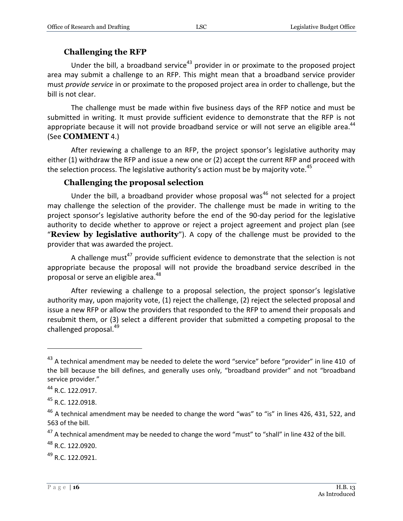## **Challenging the RFP**

<span id="page-15-0"></span>Under the bill, a broadband service<sup>43</sup> provider in or proximate to the proposed project area may submit a challenge to an RFP. This might mean that a broadband service provider must *provide service* in or proximate to the proposed project area in order to challenge, but the bill is not clear.

The challenge must be made within five business days of the RFP notice and must be submitted in writing. It must provide sufficient evidence to demonstrate that the RFP is not appropriate because it will not provide broadband service or will not serve an eligible area.<sup>44</sup> (See **COMMENT** 4.)

After reviewing a challenge to an RFP, the project sponsor's legislative authority may either (1) withdraw the RFP and issue a new one or (2) accept the current RFP and proceed with the selection process. The legislative authority's action must be by majority vote.<sup>45</sup>

# **Challenging the proposal selection**

<span id="page-15-1"></span>Under the bill, a broadband provider whose proposal was<sup>46</sup> not selected for a project may challenge the selection of the provider. The challenge must be made in writing to the project sponsor's legislative authority before the end of the 90-day period for the legislative authority to decide whether to approve or reject a project agreement and project plan (see "**Review by legislative authority**"). A copy of the challenge must be provided to the provider that was awarded the project.

A challenge must<sup>47</sup> provide sufficient evidence to demonstrate that the selection is not appropriate because the proposal will not provide the broadband service described in the proposal or serve an eligible area.<sup>48</sup>

After reviewing a challenge to a proposal selection, the project sponsor's legislative authority may, upon majority vote, (1) reject the challenge, (2) reject the selected proposal and issue a new RFP or allow the providers that responded to the RFP to amend their proposals and resubmit them, or (3) select a different provider that submitted a competing proposal to the challenged proposal.<sup>49</sup>

<sup>&</sup>lt;sup>43</sup> A technical amendment may be needed to delete the word "service" before "provider" in line 410 of the bill because the bill defines, and generally uses only, "broadband provider" and not "broadband service provider."

<sup>44</sup> R.C. 122.0917.

 $45$  R.C. 122.0918.

 $^{46}$  A technical amendment may be needed to change the word "was" to "is" in lines 426, 431, 522, and 563 of the bill.

 $47$  A technical amendment may be needed to change the word "must" to "shall" in line 432 of the bill.

<sup>48</sup> R.C. 122.0920.

<sup>&</sup>lt;sup>49</sup> R.C. 122.0921.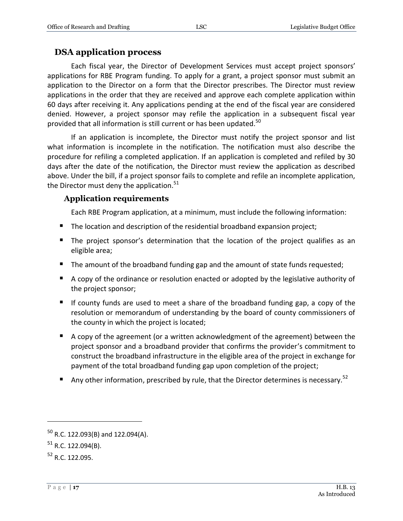### <span id="page-16-0"></span>**DSA application process**

Each fiscal year, the Director of Development Services must accept project sponsors' applications for RBE Program funding. To apply for a grant, a project sponsor must submit an application to the Director on a form that the Director prescribes. The Director must review applications in the order that they are received and approve each complete application within 60 days after receiving it. Any applications pending at the end of the fiscal year are considered denied. However, a project sponsor may refile the application in a subsequent fiscal year provided that all information is still current or has been updated.<sup>50</sup>

If an application is incomplete, the Director must notify the project sponsor and list what information is incomplete in the notification. The notification must also describe the procedure for refiling a completed application. If an application is completed and refiled by 30 days after the date of the notification, the Director must review the application as described above. Under the bill, if a project sponsor fails to complete and refile an incomplete application, the Director must deny the application. $51$ 

#### <span id="page-16-1"></span>**Application requirements**

Each RBE Program application, at a minimum, must include the following information:

- The location and description of the residential broadband expansion project;
- The project sponsor's determination that the location of the project qualifies as an eligible area;
- The amount of the broadband funding gap and the amount of state funds requested;
- A copy of the ordinance or resolution enacted or adopted by the legislative authority of the project sponsor;
- If county funds are used to meet a share of the broadband funding gap, a copy of the resolution or memorandum of understanding by the board of county commissioners of the county in which the project is located;
- A copy of the agreement (or a written acknowledgment of the agreement) between the project sponsor and a broadband provider that confirms the provider's commitment to construct the broadband infrastructure in the eligible area of the project in exchange for payment of the total broadband funding gap upon completion of the project;
- Any other information, prescribed by rule, that the Director determines is necessary.<sup>52</sup>

 $50$  R.C. 122.093(B) and 122.094(A).

 $51$  R.C. 122.094(B).

<sup>52</sup> R.C. 122.095.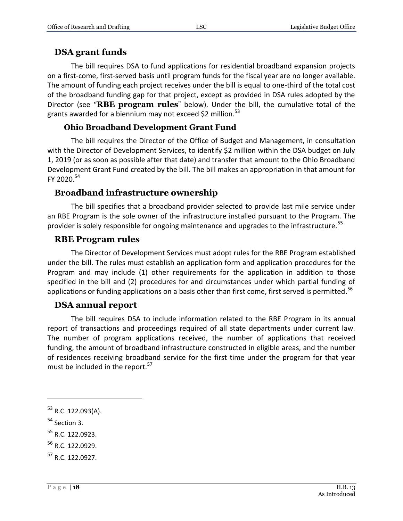### <span id="page-17-0"></span>**DSA grant funds**

The bill requires DSA to fund applications for residential broadband expansion projects on a first-come, first-served basis until program funds for the fiscal year are no longer available. The amount of funding each project receives under the bill is equal to one-third of the total cost of the broadband funding gap for that project, except as provided in DSA rules adopted by the Director (see "**RBE program rules**" below). Under the bill, the cumulative total of the grants awarded for a biennium may not exceed \$2 million.<sup>53</sup>

### **Ohio Broadband Development Grant Fund**

<span id="page-17-1"></span>The bill requires the Director of the Office of Budget and Management, in consultation with the Director of Development Services, to identify \$2 million within the DSA budget on July 1, 2019 (or as soon as possible after that date) and transfer that amount to the Ohio Broadband Development Grant Fund created by the bill. The bill makes an appropriation in that amount for FY 2020. $54$ 

### <span id="page-17-2"></span>**Broadband infrastructure ownership**

The bill specifies that a broadband provider selected to provide last mile service under an RBE Program is the sole owner of the infrastructure installed pursuant to the Program. The provider is solely responsible for ongoing maintenance and upgrades to the infrastructure.<sup>55</sup>

### <span id="page-17-3"></span>**RBE Program rules**

The Director of Development Services must adopt rules for the RBE Program established under the bill. The rules must establish an application form and application procedures for the Program and may include (1) other requirements for the application in addition to those specified in the bill and (2) procedures for and circumstances under which partial funding of applications or funding applications on a basis other than first come, first served is permitted.  $56$ 

### <span id="page-17-4"></span>**DSA annual report**

The bill requires DSA to include information related to the RBE Program in its annual report of transactions and proceedings required of all state departments under current law. The number of program applications received, the number of applications that received funding, the amount of broadband infrastructure constructed in eligible areas, and the number of residences receiving broadband service for the first time under the program for that year must be included in the report.<sup>57</sup>

 $\overline{a}$ 

 $55$  R.C. 122.0923.

<sup>53</sup> R.C. 122.093(A).

<sup>&</sup>lt;sup>54</sup> Section 3.

<sup>&</sup>lt;sup>56</sup> R.C. 122.0929.

<sup>&</sup>lt;sup>57</sup> R.C. 122.0927.